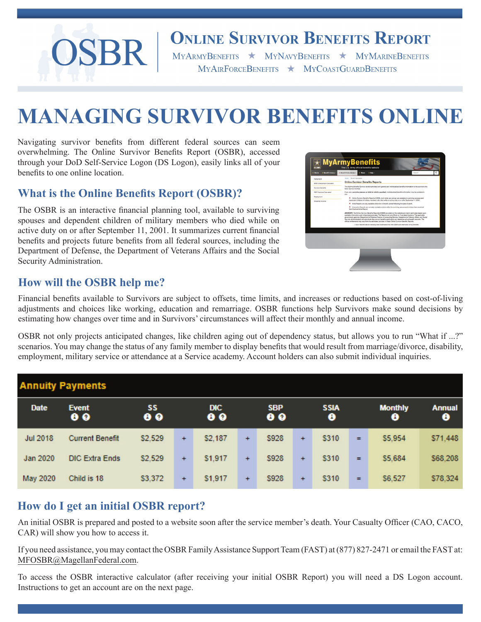

# **ONLINE SURVIVOR BENEFITS REPORT**

 $\begin{tabular}{lllllll} \bf{MyARMYBENERFTS} & \color{red}\star & \color{red}\textbf{MyNAVYBENERFTS} & \color{red}\star & \color{red}\textbf{MyMARMEBENERFTS} \end{tabular}$ MYAIRFORCEBENEFITS \* MYCOASTGUARDBENEFITS

# **MANAGING SURVIVOR BENEFITS ONLINE**

Navigating survivor benefits from different federal sources can seem overwhelming. The Online Survivor Benefits Report (OSBR), accessed through your DoD Self-Service Logon (DS Logon), easily links all of your benefits to one online location.

## **What is the Online Benefits Report (OSBR)?**

The OSBR is an interactive financial planning tool, available to surviving spouses and dependent children of military members who died while on active duty on or after September 11, 2001. It summarizes current financial benefits and projects future benefits from all federal sources, including the Department of Defense, the Department of Veterans Affairs and the Social Security Administration.

| <b>Fatigament</b>              | Home / Gonefit Coloulation                                                                                                                                                                                                                                                                                                                                                                                                                                                                                                                                                                          |  |  |  |  |  |  |  |  |  |
|--------------------------------|-----------------------------------------------------------------------------------------------------------------------------------------------------------------------------------------------------------------------------------------------------------------------------------------------------------------------------------------------------------------------------------------------------------------------------------------------------------------------------------------------------------------------------------------------------------------------------------------------------|--|--|--|--|--|--|--|--|--|
| EPS Compartson Calculator      | Online Survivor Benefits Reports                                                                                                                                                                                                                                                                                                                                                                                                                                                                                                                                                                    |  |  |  |  |  |  |  |  |  |
| <b>Bursher Benefits</b>        | The Molera Berefits Survivor section provides both general and individualized benefits information to the survivors of a<br>fallon funcion mamber                                                                                                                                                                                                                                                                                                                                                                                                                                                   |  |  |  |  |  |  |  |  |  |
| <b>FEET Premium Calculator</b> | If you are a surviving spouse or child for child's quartian), individualized benefits information may be available to                                                                                                                                                                                                                                                                                                                                                                                                                                                                               |  |  |  |  |  |  |  |  |  |
| Deployment                     | you.<br>* Online Sunniest Benefits Reports (OSBR), both Initial and annual, are available to sunriving spouses and                                                                                                                                                                                                                                                                                                                                                                                                                                                                                  |  |  |  |  |  |  |  |  |  |
| Disability Income              | dependent children of military members who died while on active duty on or after Deptember 11, 2001.                                                                                                                                                                                                                                                                                                                                                                                                                                                                                                |  |  |  |  |  |  |  |  |  |
|                                | Initial Reports are only available online for a 6 month period following the date of death.<br>Interactive Reports are normally preliable anytime after the sunnising appear and children have received<br>their finalized Initial Report.                                                                                                                                                                                                                                                                                                                                                          |  |  |  |  |  |  |  |  |  |
|                                | ADVISORY: The Online Survivor Benefits Report(x) (OSBR) provided on this website are interim estimates based upon<br>available information and military/personal data. The Reports are not official nor final determinations. The applicable<br>government agencies (Department of Dafense Finance & Accounting Service, Department of Veteran Affairs, and Social<br>Security Administration) will adjudicate the survivor benefits application and determine actual benefit amounts. The<br>official entitlements may vary from the estimates provided in these Online Survivor Benefits Reports. |  |  |  |  |  |  |  |  |  |
|                                | I have read the above Advisory and understand that the CEERIS are estimates of my benefits.                                                                                                                                                                                                                                                                                                                                                                                                                                                                                                         |  |  |  |  |  |  |  |  |  |
|                                |                                                                                                                                                                                                                                                                                                                                                                                                                                                                                                                                                                                                     |  |  |  |  |  |  |  |  |  |
|                                |                                                                                                                                                                                                                                                                                                                                                                                                                                                                                                                                                                                                     |  |  |  |  |  |  |  |  |  |
|                                |                                                                                                                                                                                                                                                                                                                                                                                                                                                                                                                                                                                                     |  |  |  |  |  |  |  |  |  |
|                                |                                                                                                                                                                                                                                                                                                                                                                                                                                                                                                                                                                                                     |  |  |  |  |  |  |  |  |  |
|                                |                                                                                                                                                                                                                                                                                                                                                                                                                                                                                                                                                                                                     |  |  |  |  |  |  |  |  |  |

### **How will the OSBR help me?**

Financial benefits available to Survivors are subject to offsets, time limits, and increases or reductions based on cost-of-living adjustments and choices like working, education and remarriage. OSBR functions help Survivors make sound decisions by estimating how changes over time and in Survivors' circumstances will affect their monthly and annual income.

OSBR not only projects anticipated changes, like children aging out of dependency status, but allows you to run "What if ...?" scenarios. You may change the status of any family member to display benefits that would result from marriage/divorce, disability, employment, military service or attendance at a Service academy. Account holders can also submit individual inquiries.

| <b>Annuity Payments</b> |                           |                 |           |                   |     |                         |           |                  |     |                     |                    |
|-------------------------|---------------------------|-----------------|-----------|-------------------|-----|-------------------------|-----------|------------------|-----|---------------------|--------------------|
| <b>Date</b>             | <b>Event</b><br>$\bullet$ | SS<br>$\bullet$ |           | DIC.<br>$\bullet$ |     | <b>SBP</b><br>$\bullet$ |           | <b>SSIA</b><br>❸ |     | <b>Monthly</b><br>◓ | <b>Annual</b><br>◕ |
| <b>Jul 2018</b>         | <b>Current Benefit</b>    | \$2,529         | $\ddot{}$ | <b>S2.187</b>     | $+$ | \$928                   | $\ddot{}$ | <b>S310</b>      | $=$ | \$5,954             | \$71,448           |
| Jan 2020                | <b>DIC Extra Ends</b>     | \$2,529         | $\ddot{}$ | \$1,917           | $+$ | \$928                   | $+$       | \$310            | Ξ   | \$5.684             | \$68,208           |
| <b>May 2020</b>         | Child is 18               | \$3,372         | $+$       | \$1,917           | $+$ | \$928                   | $+$       | <b>S310</b>      | $=$ | \$6,527             | \$78,324           |

# **How do I get an initial OSBR report?**

An initial OSBR is prepared and posted to a website soon after the service member's death. Your Casualty Officer (CAO, CACO, CAR) will show you how to access it.

If you need assistance, you may contact the OSBR Family Assistance Support Team (FAST) at (877) 827-2471 or email the FAST at: MFOSBR@MagellanFederal.com.

To access the OSBR interactive calculator (after receiving your initial OSBR Report) you will need a DS Logon account. Instructions to get an account are on the next page.